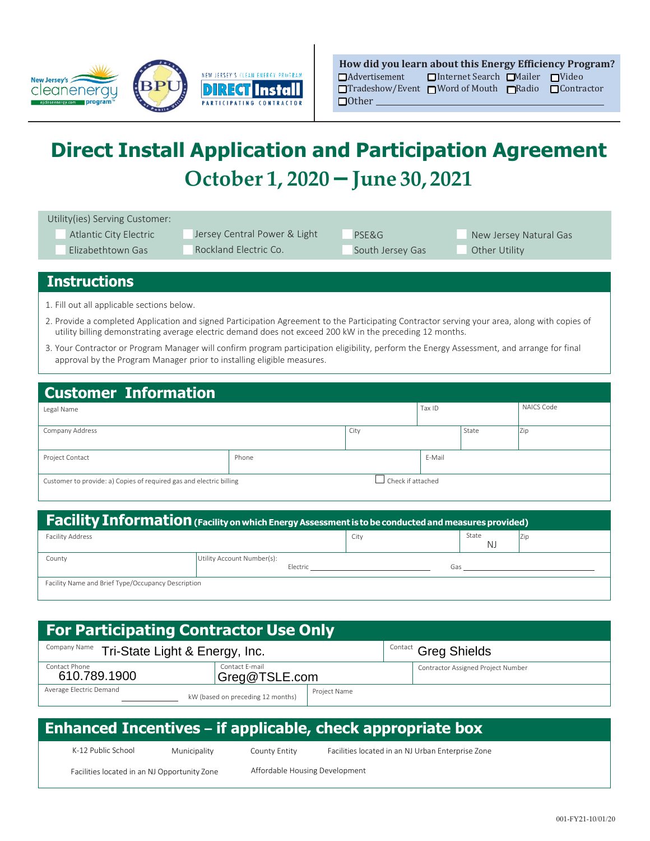

| How did you learn about this Energy Efficiency Program?                    |                                 |  |  |  |  |  |  |
|----------------------------------------------------------------------------|---------------------------------|--|--|--|--|--|--|
| $\Box$ Advertisement                                                       | □Internet Search □Mailer □Video |  |  |  |  |  |  |
| $\Box$ Tradeshow/Event $\Box$ Word of Mouth $\Box$ Radio $\Box$ Contractor |                                 |  |  |  |  |  |  |
| $\Box$ Other                                                               |                                 |  |  |  |  |  |  |

# **Direct Install Application and Participation Agreement October 1, 2020 – June 30, 2021**

| Utility(ies) Serving Customer:<br>Atlantic City Electric<br>$\Box$ Elizabethtown Gas                                                                                                                                                                      |  | <b>State Second</b> Jersey Central Power & Light<br>Rockland Electric Co. | $L$ PSE&G<br>South Jersey Gas                                                                                                                                                                                                  |            | $\Box$ New Jersey Natural Gas<br>$\Box$ Other Utility |  |  |  |
|-----------------------------------------------------------------------------------------------------------------------------------------------------------------------------------------------------------------------------------------------------------|--|---------------------------------------------------------------------------|--------------------------------------------------------------------------------------------------------------------------------------------------------------------------------------------------------------------------------|------------|-------------------------------------------------------|--|--|--|
| <b>Instructions</b>                                                                                                                                                                                                                                       |  |                                                                           |                                                                                                                                                                                                                                |            |                                                       |  |  |  |
| 1. Fill out all applicable sections below.                                                                                                                                                                                                                |  |                                                                           |                                                                                                                                                                                                                                |            |                                                       |  |  |  |
| 2. Provide a completed Application and signed Participation Agreement to the Participating Contractor serving your area, along with copies of<br>utility billing demonstrating average electric demand does not exceed 200 kW in the preceding 12 months. |  |                                                                           |                                                                                                                                                                                                                                |            |                                                       |  |  |  |
| 3. Your Contractor or Program Manager will confirm program participation eligibility, perform the Energy Assessment, and arrange for final<br>approval by the Program Manager prior to installing eligible measures.                                      |  |                                                                           |                                                                                                                                                                                                                                |            |                                                       |  |  |  |
| <b>Customer Information</b>                                                                                                                                                                                                                               |  |                                                                           |                                                                                                                                                                                                                                |            |                                                       |  |  |  |
| Legal Name                                                                                                                                                                                                                                                |  |                                                                           | Tax ID                                                                                                                                                                                                                         |            | <b>NAICS Code</b>                                     |  |  |  |
| Company Address                                                                                                                                                                                                                                           |  | City                                                                      | State                                                                                                                                                                                                                          |            | Zip                                                   |  |  |  |
| Project Contact                                                                                                                                                                                                                                           |  | Phone                                                                     |                                                                                                                                                                                                                                | E-Mail     |                                                       |  |  |  |
| Check if attached<br>Customer to provide: a) Copies of required gas and electric billing                                                                                                                                                                  |  |                                                                           |                                                                                                                                                                                                                                |            |                                                       |  |  |  |
|                                                                                                                                                                                                                                                           |  |                                                                           |                                                                                                                                                                                                                                |            |                                                       |  |  |  |
| Facility Information (Facility on which Energy Assessment is to be conducted and measures provided)                                                                                                                                                       |  |                                                                           |                                                                                                                                                                                                                                |            |                                                       |  |  |  |
| <b>Facility Address</b>                                                                                                                                                                                                                                   |  | City                                                                      |                                                                                                                                                                                                                                | State<br>N | Zip                                                   |  |  |  |
| County                                                                                                                                                                                                                                                    |  | Utility Account Number(s):<br>Electric                                    | Gas and the contract of the contract of the contract of the contract of the contract of the contract of the contract of the contract of the contract of the contract of the contract of the contract of the contract of the co |            |                                                       |  |  |  |
| Facility Name and Brief Type/Occupancy Description                                                                                                                                                                                                        |  |                                                                           |                                                                                                                                                                                                                                |            |                                                       |  |  |  |
|                                                                                                                                                                                                                                                           |  |                                                                           |                                                                                                                                                                                                                                |            |                                                       |  |  |  |

| <b>For Participating Contractor Use Only</b>                 |                                 |  |                             |                                    |  |  |  |
|--------------------------------------------------------------|---------------------------------|--|-----------------------------|------------------------------------|--|--|--|
| Company Name Tri-State Light & Energy, Inc.                  |                                 |  | <b>Contact Greg Shields</b> |                                    |  |  |  |
| Contact Phone<br>610.789.1900                                | Contact E-mail<br>Greg@TSLE.com |  |                             | Contractor Assigned Project Number |  |  |  |
| Average Electric Demand<br>kW (based on preceding 12 months) | Project Name                    |  |                             |                                    |  |  |  |

| <b>Enhanced Incentives – if applicable, check appropriate box</b> |                                              |                    |  |                                |  |               |  |                                                   |
|-------------------------------------------------------------------|----------------------------------------------|--------------------|--|--------------------------------|--|---------------|--|---------------------------------------------------|
|                                                                   |                                              | K-12 Public School |  | Municipality                   |  | County Entity |  | Facilities located in an NJ Urban Enterprise Zone |
|                                                                   | Facilities located in an NJ Opportunity Zone |                    |  | Affordable Housing Development |  |               |  |                                                   |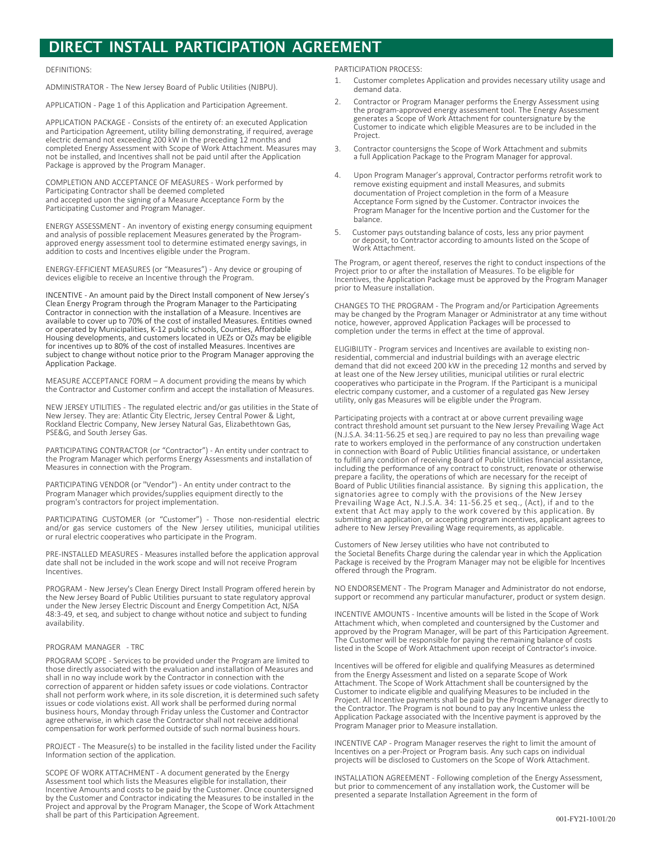## **DIRECT INSTALL PARTICIPATION AGREEMENT**

#### **DEFINITIONS:**

ADMINISTRATOR - The New Jersey Board of Public Utilities (NJBPU).

APPLICATION - Page 1 of this Application and Participation Agreement.

APPLICATION PACKAGE - Consists of the entirety of: an executed Application and Participation Agreement, utility billing demonstrating, if required, average electric demand not exceeding 200 kW in the preceding 12 months and completed Energy Assessment with Scope of Work Attachment. Measures may not be installed, and Incentives shall not be paid until after the Application Package is approved by the Program Manager.

COMPLETION AND ACCEPTANCE OF MEASURES - Work performed by Participating Contractor shall be deemed completed and accepted upon the signing of a Measure Acceptance Form by the Participating Customer and Program Manager.

ENERGY ASSESSMENT - An inventory of existing energy consuming equipment and analysis of possible replacement Measures generated by the Programapproved energy assessment tool to determine estimated energy savings, in addition to costs and Incentives eligible under the Program.

ENERGY-EFFICIENT MEASURES (or "Measures") - Any device or grouping of devices eligible to receive an Incentive through the Program.

INCENTIVE - An amount paid by the Direct Install component of New Jersey's Clean Energy Program through the Program Manager to the Participating Contractor in connection with the installation of a Measure. Incentives are<br>available to cover up to 70% of the cost of installed Measures. Entities owned or operated by Municipalities, K-12 public schools, Counties, Affordable Encourage developments, and customers located in UEZs or OZs may be eligible<br>for incentives up to 80% of the cost of installed Measures. Incentives are subject to change without notice prior to the Program Manager approving the Application Package.

MEASURE ACCEPTANCE FORM - A document providing the means by which the Contractor and Customer confirm and accept the installation of Measures.

NEW JERSEY UTILITIES - The regulated electric and/or gas utilities in the State of<br>New Jersey. They are: Atlantic City Electric, Jersey Central Power & Light, Rockland Electric Company, New Jersey Natural Gas, Elizabethtown Gas, PSE&G, and South Jersey Gas.

PARTICIPATING CONTRACTOR (or "Contractor") - An entity under contract to the Program Manager which performs Energy Assessments and installation of Measures in connection with the Program.

PARTICIPATING VENDOR (or "Vendor") - An entity under contract to the Program Manager which provides/supplies equipment directly to the program's contractors for project implementation.

PARTICIPATING CUSTOMER (or "Customer") - Those non-residential electric and/or gas service customers of the New Jersey utilities, municipal utilities<br>or rural electric cooperatives who participate in the Program.

PRE-INSTALLED MEASURES - Measures installed before the application approval date shall not be included in the work scope and will not receive Program Incentives

PROGRAM - New Jersey's Clean Energy Direct Install Program offered herein by the New Jersey Board of Public Utilities pursuant to state regulatory approval under the New Jersey Electric Discount and Energy Competition Act, NJSA 48:3-49, et seq, and subject to change without notice and subject to funding availability.

#### PROGRAM MANAGER - TRC

PROGRAM SCOPE - Services to be provided under the Program are limited to those directly associated with the evaluation and installation of Measures and shall in no way include work by the Contractor in connection with the correction of apparent or hidden safety issues or code violations. Contractor shall not perform work where, in its sole discretion, it is determined such safety issues or code violations exist. All work shall be performed during normal business hours, Monday through Friday unless the Customer and Contractor agree otherwise, in which case the Contractor shall not receive additional compensation for work performed outside of such normal business hours.

PROJECT - The Measure(s) to be installed in the facility listed under the Facility Information section of the application.

SCOPE OF WORK ATTACHMENT - A document generated by the Energy Assessment tool which lists the Measures eligible for installation, their Incentive Amounts and costs to be paid by the Customer. Once countersigned by the Customer and Contractor indicating the Measures to be installed in the Project and approval by the Program Manager, the Scope of Work Attachment shall be part of this Participation Agreement.

PARTICIPATION PROCESS:

- Customer completes Application and provides necessary utility usage and  $\mathbf{1}$ . demand data
- Contractor or Program Manager performs the Energy Assessment using  $2.$ The program-approved energy assessment tool. The Energy Assessment<br>generates a Scope of Work Attachment for countersignature by the<br>generates a Scope of Work Attachment for countersignature by the Customer to indicate which eligible Measures are to be included in the Project.
- Contractor countersigns the Scope of Work Attachment and submits  $\overline{3}$ . a full Application Package to the Program Manager for approval.
- Upon Program Manager's approval, Contractor performs retrofit work to 4. remove existing equipment and install Measures, and submits documentation of Project completion in the form of a Measure Acceptance Form signed by the Customer. Contractor invoices the Program Manager for the Incentive portion and the Customer for the balance
- Customer pays outstanding balance of costs, less any prior payment  $5$ or deposit, to Contractor according to amounts listed on the Scope of Work Attachment.

The Program, or agent thereof, reserves the right to conduct inspections of the Project prior to or after the installation of Measures. To be eligible for Incentives, the Application Package must be approved by the Program Manager prior to Measure installation.

CHANGES TO THE PROGRAM - The Program and/or Participation Agreements may be changed by the Program Manager or Administrator at any time without notice, however, approved Application Packages will be processed to completion under the terms in effect at the time of approval.

ELIGIBILITY - Program services and Incentives are available to existing non-<br>residential, commercial and industrial buildings with an average electric demand that did not exceed 200 kW in the preceding 12 months and served by at least one of the New Jersey utilities, municipal utilities or rural electric cooperatives who participate in the Program. If the Participant is a municipal electric company customer, and a customer of a regulated gas New Jersey utility, only gas Measures will be eligible under the Program.

Participating projects with a contract at or above current prevailing wage contract threshold amount set pursuant to the New Jersey Prevailing Wage Act (N.J.S.A. 34:11-56.25 et seg.) are required to pay no less than prevailing wage rate to workers employed in the performance of any construction undertaken in connection with Board of Public Utilities financial assistance, or undertaken to fulfill any condition of receiving Board of Public Utilities financial assistance, including the performance of any contract to construct, renovate or otherwise mental of Public Utilities financial assistance. By signing this application, the Board of Public Utilities financial assistance. By signing this application, the Signatories agree to comply with the provisions of the New Jersey<br>Prevailing Wage Act, N.J.S.A. 34: 11-56.25 et seq., (Act), if and to the<br>extent that Act may apply to the work covered by this application. By<br>submitting an adhere to New Jersey Prevailing Wage requirements, as applicable.

Customers of New Jersey utilities who have not contributed to the Societal Benefits Charge during the calendar year in which the Application Package is received by the Program Manager may not be eligible for Incentives offered through the Program.

NO ENDORSEMENT - The Program Manager and Administrator do not endorse, support or recommend any particular manufacturer, product or system design.

INCENTIVE AMOUNTS - Incentive amounts will be listed in the Scope of Work Attachment which, when completed and countersigned by the Customer and<br>approved by the Program Manager, will be part of this Participation Agreement. The Customer will be responsible for paying the remaining balance of costs listed in the Scope of Work Attachment upon receipt of Contractor's invoice.

Incentives will be offered for eligible and qualifying Measures as determined from the Energy Assessment and listed on a separate Scope of Work Attachment. The Scope of Work Attachment shall be countersigned by the Customer to indicate eligible and qualifying Measures to be included in the Project. All Incentive payments shall be paid by the Program Manager directly to the Contractor. The Program is not bound to pay any Incentive unless the Application Package associated with the Incentive payment is approved by the Program Manager prior to Measure installation.

INCENTIVE CAP - Program Manager reserves the right to limit the amount of Incentives on a per-Project or Program basis. Any such caps on individual<br>projects will be disclosed to Customers on the Scope of Work Attachment.

INSTALLATION AGREEMENT - Following completion of the Energy Assessment, but prior to commencement of any installation work, the Customer will be presented a separate Installation Agreement in the form of